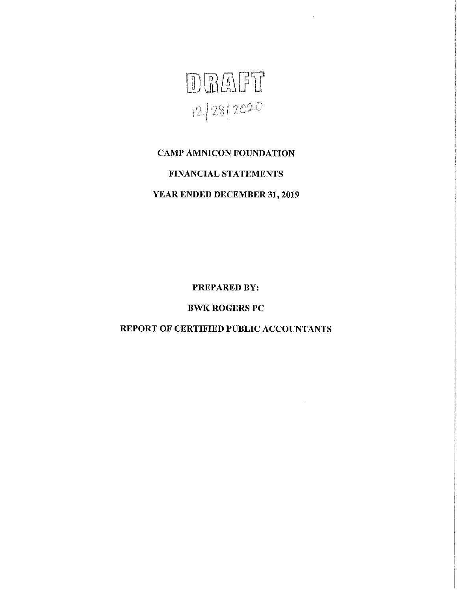

# CAMP AMNICON FOUNDATION

# FINANCIAL STATEMENTS

YEAR ENDED DECEMBER 31, 2019

PREPARED BY:

BWK ROGERS PC

REPORT OF CERTIFIED PUBLIC ACCOUNTANTS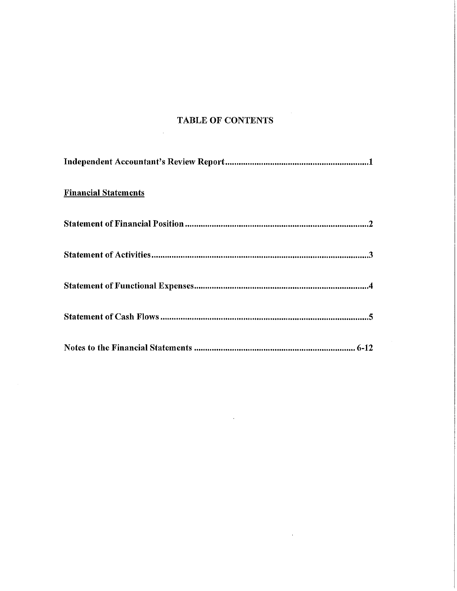# TABLE OF CONTENTS

| <b>Financial Statements</b> |
|-----------------------------|
|                             |
|                             |
|                             |
|                             |
|                             |

÷,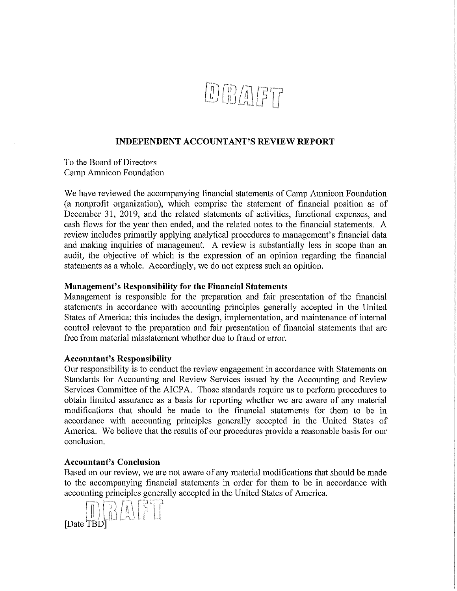

### INDEPENDENT ACCOUNTANT'S REVIEW REPORT

To the Board of Directors Camp Amnicon Foundation

We have reviewed the accompanying financial statements of Camp Amnicon Foundation (a nonprofit organization), which comprise the statement of financial position as of December 31, 2019, and the related statements of activities, functional expenses, and cash flows for the year then ended, and the related notes to the financial statements. A review includes primarily applying analytical procedures to management's financial data and making inquiries of management. A review is substantially less in scope than an audit, the objective of which is the expression of an opinion regarding the financial statements as a whole. Accordingly, we do not express such an opinion.

### Management's Responsibility for the Financial Statements

Management is responsible for the preparation and fair presentation of the financial statements in accordance with accounting principles generally accepted in the United States of America; this includes the design, implementation, and maintenance of internal control relevant to the preparation and fair presentation of financial statements that are free from material misstatement whether due to fraud or error.

#### Accountant's Responsibility

Our responsibility is to conduct the review engagement in accordance with Statements on Standards for Accounting and Review Services issued by the Accounting and Review Services Committee of the AICPA. Those standards require us to perform procedures to obtain limited assurance as a basis for reporting whether we are aware of any material modifications that should be made to the financial statements for them to be in accordance with accounting principles generally accepted in the United States of America. We believe that the results of our procedures provide a reasonable basis for our conclusion.

#### Accountant's Conclusion

Based on our review, we are not aware of any material modifications that should be made to the accompanying financial statements in order for them to be in accordance with accounting principles generally accepted in the United States of America.

[Date TBD]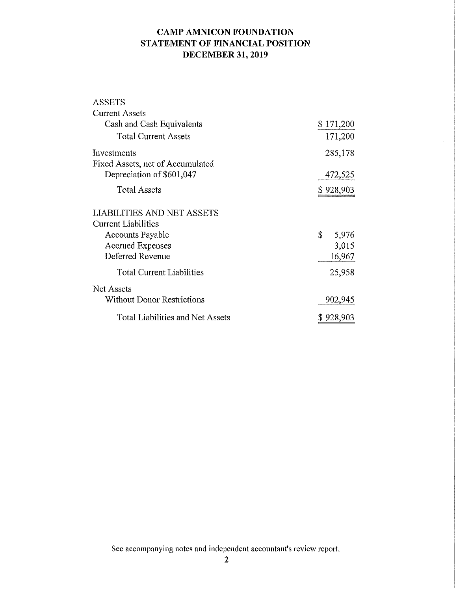# CAMP AMNICON FOUNDATION STATEMENT OF FINANCIAL POSITION DECEMBER 31, 2019

| <b>ASSETS</b>                     |             |
|-----------------------------------|-------------|
| Current Assets                    |             |
| Cash and Cash Equivalents         | \$171,200   |
| <b>Total Current Assets</b>       | 171,200     |
| Investments                       | 285,178     |
| Fixed Assets, net of Accumulated  |             |
| Depreciation of \$601,047         | 472,525     |
| <b>Total Assets</b>               | \$928,903   |
| <b>LIABILITIES AND NET ASSETS</b> |             |
| <b>Current Liabilities</b>        |             |
| <b>Accounts Payable</b>           | \$<br>5,976 |
| <b>Accrued Expenses</b>           | 3,015       |
| Deferred Revenue                  | 16,967      |
| <b>Total Current Liabilities</b>  | 25,958      |
| Net Assets                        |             |
| Without Donor Restrictions        | 902,945     |
| Total Liabilities and Net Assets  | \$928,903   |

See accompanying notes and independent accountant's review report.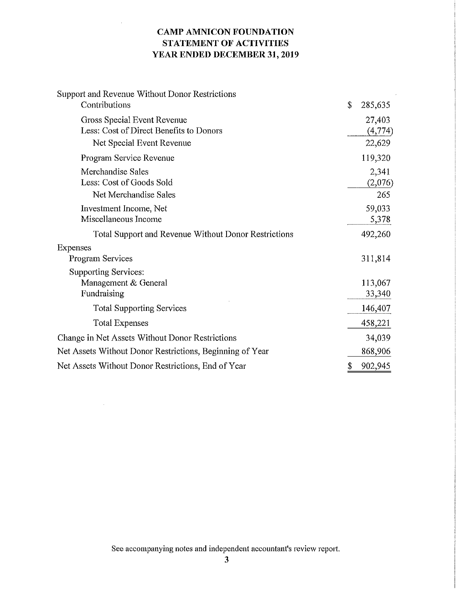# CAMP AMNICON FOUNDATION STATEMENT OF ACTIVITIES YEAR ENDED DECEMBER 31, 2019

| Support and Revenue Without Donor Restrictions                                                      |                                    |
|-----------------------------------------------------------------------------------------------------|------------------------------------|
| Contributions                                                                                       | \$<br>285,635                      |
| Gross Special Event Revenue<br>Less: Cost of Direct Benefits to Donors<br>Net Special Event Revenue | 27,403<br>(4,774)<br>22,629        |
|                                                                                                     |                                    |
| Program Service Revenue<br>Merchandise Sales<br>Less: Cost of Goods Sold<br>Net Merchandise Sales   | 119,320<br>2,341<br>(2,076)<br>265 |
| Investment Income, Net<br>Miscellaneous Income                                                      | 59,033<br>5,378                    |
| Total Support and Revenue Without Donor Restrictions                                                | 492,260                            |
| Expenses<br>Program Services                                                                        | 311,814                            |
| <b>Supporting Services:</b><br>Management & General<br>Fundraising                                  | 113,067<br>33,340                  |
| <b>Total Supporting Services</b>                                                                    | 146,407                            |
| <b>Total Expenses</b>                                                                               | 458,221                            |
| Change in Net Assets Without Donor Restrictions                                                     | 34,039                             |
| Net Assets Without Donor Restrictions, Beginning of Year                                            | 868,906                            |
| Net Assets Without Donor Restrictions, End of Year                                                  | \$<br>902,945                      |

See accompanying notes and independent accountant's review report.

 $\sim$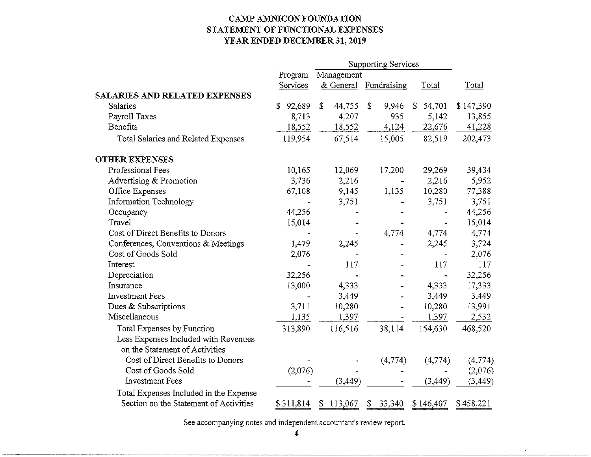# CAMP AMNICON FOUNDATION STATEMENT OF FUNCTIONAL EXPENSESYEAR ENDED DECEMBER 31,2019

|                                        |              |             | <b>Supporting Services</b> |           |           |
|----------------------------------------|--------------|-------------|----------------------------|-----------|-----------|
|                                        | Program      | Management  |                            |           |           |
|                                        | Services     | & General   | Fundraising                | Total     | Total     |
| SALARIES AND RELATED EXPENSES          |              |             |                            |           |           |
| Salaries                               | 92,689<br>\$ | S<br>44,755 | 9,946<br>\$                | \$ 54,701 | \$147,390 |
| Payroll Taxes                          | 8,713        | 4,207       | 935                        | 5,142     | 13,855    |
| <b>Benefits</b>                        | 18,552       | 18,552      | 4,124                      | 22,676    | 41,228    |
| Total Salaries and Related Expenses    | 119,954      | 67,514      | 15,005                     | 82,519    | 202,473   |
| <b>OTHER EXPENSES</b>                  |              |             |                            |           |           |
| Professional Fees                      | 10,165       | 12,069      | 17,200                     | 29,269    | 39,434    |
| Advertising & Promotion                | 3,736        | 2,216       |                            | 2,216     | 5,952     |
| Office Expenses                        | 67,108       | 9,145       | 1,135                      | 10,280    | 77,388    |
| <b>Information Technology</b>          |              | 3,751       |                            | 3,751     | 3,751     |
| Occupancy                              | 44,256       |             |                            |           | 44,256    |
| Travel                                 | 15,014       |             |                            |           | 15,014    |
| Cost of Direct Benefits to Donors      |              |             | 4,774                      | 4,774     | 4,774     |
| Conferences, Conventions & Meetings    | 1,479        | 2,245       |                            | 2,245     | 3,724     |
| Cost of Goods Sold                     | 2,076        |             |                            |           | 2,076     |
| Interest                               |              | 117         |                            | 117       | 117       |
| Depreciation                           | 32,256       |             |                            |           | 32,256    |
| Insurance                              | 13,000       | 4,333       |                            | 4,333     | 17,333    |
| <b>Investment Fees</b>                 |              | 3,449       |                            | 3,449     | 3,449     |
| Dues & Subscriptions                   | 3,711        | 10,280      |                            | 10,280    | 13,991    |
| Miscellaneous                          | 1,135        | 1,397       |                            | 1,397     | 2,532     |
| Total Expenses by Function             | 313,890      | 116,516     | 38,114                     | 154,630   | 468,520   |
| Less Expenses Included with Revenues   |              |             |                            |           |           |
| on the Statement of Activities         |              |             |                            |           |           |
| Cost of Direct Benefits to Donors      |              |             | (4,774)                    | (4,774)   | (4,774)   |
| Cost of Goods Sold                     | (2,076)      |             |                            |           | (2,076)   |
| <b>Investment Fees</b>                 |              | (3, 449)    |                            | (3.449)   | (3, 449)  |
| Total Expenses Included in the Expense |              |             |                            |           |           |
| Section on the Statement of Activities | \$311,814    | \$113,067   | \$<br>33,340               | \$146,407 | \$458,221 |

See accompanying notes and independent accountant's review report.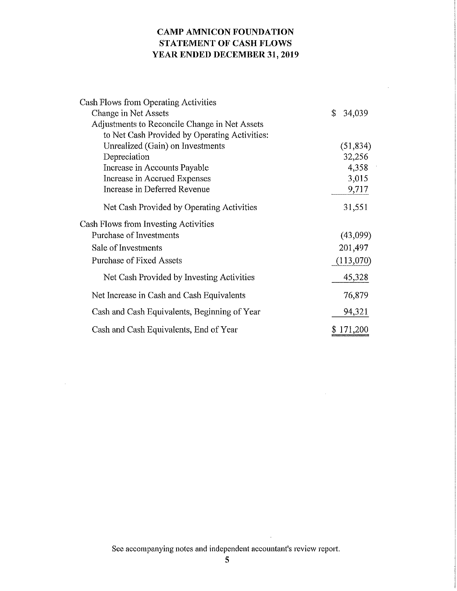# CAMP AMNICON FOUNDATION STATEMENT OF CASH FLOWS YEAR ENDED DECEMBER 31, 2019

 $\sim$ 

| Cash Flows from Operating Activities          |              |
|-----------------------------------------------|--------------|
| Change in Net Assets                          | \$<br>34,039 |
| Adjustments to Reconcile Change in Net Assets |              |
| to Net Cash Provided by Operating Activities: |              |
| Unrealized (Gain) on Investments              | (51, 834)    |
| Depreciation                                  | 32,256       |
| Increase in Accounts Payable                  | 4,358        |
| Increase in Accrued Expenses                  | 3,015        |
| Increase in Deferred Revenue                  | 9,717        |
| Net Cash Provided by Operating Activities     | 31,551       |
| <b>Cash Flows from Investing Activities</b>   |              |
| Purchase of Investments                       | (43,099)     |
| Sale of Investments                           | 201,497      |
| Purchase of Fixed Assets                      | (113,070)    |
| Net Cash Provided by Investing Activities     | 45,328       |
| Net Increase in Cash and Cash Equivalents     | 76,879       |
| Cash and Cash Equivalents, Beginning of Year  | 94,321       |
| Cash and Cash Equivalents, End of Year        | \$171,200    |

See accompanying notes and independent accountant's review report.

 $\mathcal{L}_{\mathcal{A}}$ 

 $\epsilon$ 

5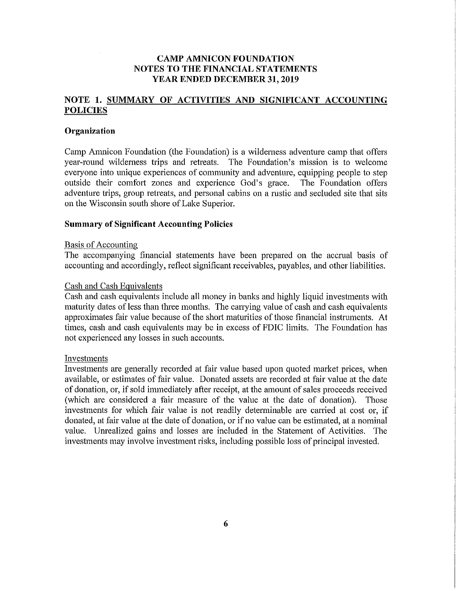## NOTE 1. SUMMARY OF ACTIVITIES AND SIGNIFICANT ACCOUNTING POLICIES

### Organization

Camp Amnicon Foundation (the Foundation) is a wilderness adventure camp that offers year-round wilderness trips and retreats. The Foundation's mission is to welcome everyone into unique experiences of community and adventure, equipping people to step outside their comfort zones and experience God's grace. The Foundation offers adventure trips, group retreats, and personal cabins on a rustic and secluded site that sits on the Wisconsin south shore of Lake Superior.

### Summary of Significant Accounting Policies

### Basis of Accounting

The accompanying financial statements have been prepared on the accrual basis of accounting and accordingly, reflect significant receivables, payables, and other liabilities.

#### Cash and Cash Equivalents

Cash and cash equivalents include all money in banks and highly liquid investments with maturity dates of less than three months. The carrying value of cash and cash equivalents approximates fair value because of the short maturities of those financial instruments. At times, cash and cash equivalents may be in excess of FDIC limits. The Foundation has not experienced any losses in such accounts.

#### Investments

Investments are generally recorded at fair value based upon quoted market prices, when available, or estimates of fair value. Donated assets are recorded at fair value at the date of donation, or, if sold immediately after receipt, at the amount of sales proceeds received (which are considered a fair measure of the value at the date of donation). Those investments for which fair value is not readily determinable are carried at cost or, if donated, at fair value at the date of donation, or if no value can be estimated, at a nominal value. Um-ealized gains and losses are included in the Statement of Activities. The investments may involve investment risks, including possible loss of principal invested.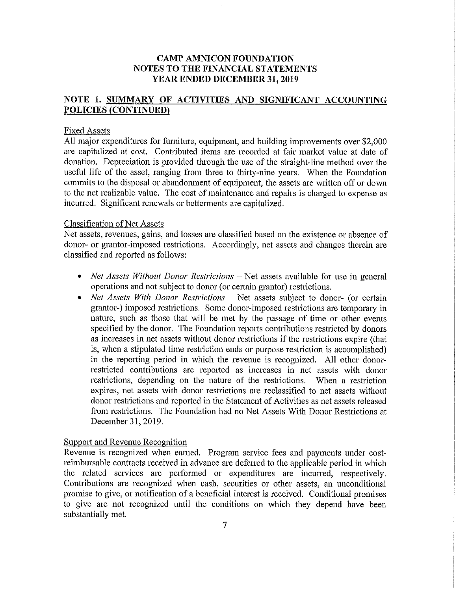## NOTE 1. SUMMARY OF ACTIVITIES AND SIGNIFICANT ACCOUNTING POLICIES (CONTINUED)

### Fixed Assets

All major expenditures for furniture, equipment, and building improvements over \$2,000 are capitalized at cost. Contributed items are recorded at fair market value at date of donation. Depreciation is provided through the use of the straight-line method over the useful life of the asset, ranging from three to thirty-nine years. When the Foundation commits to the disposal or abandonment of equipment, the assets are written off or down to the net realizable value. The cost of maintenance and repairs is charged to expense as incurred. Significant renewals or betterments are capitalized.

### Classification of Net Assets

Net assets, revenues, gains, and losses are classified based on the existence or absence of donor- or grantor-imposed restrictions. Accordingly, net assets and changes therein are classified and reported as follows:

- $\overline{Net}$  Assets Without Donor Restrictions Net assets available for use in general operations and not subject to donor (or certain grantor) restrictions.
- Net Assets With Donor Restrictions  $-$  Net assets subject to donor- (or certain grantor") imposed restrictions. Some donor-imposed restrictions are temporary in nature, such as those that will be met by the passage of time or other events specified by the donor. The Foundation reports contributions restricted by donors as increases in net assets without donor restrictions if the restrictions expire (that is, when a stipulated time restriction ends or purpose restriction is accomplished) in the reporting period in which the revenue is recognized. All other donorrestricted contributions are reported as increases in net assets with donor restrictions, depending on the nature of the restrictions. When a restriction expires, net assets with donor restrictions are reclassified to net assets without donor restrictions and reported in the Statement of Activities as net assets released from restrictions. The Foundation had no Net Assets With Donor Restrictions at December 31, 2019.

### Support and Revenue Recognition

Revenue is recognized when earned. Program service fees and payments under costreimbursable contracts received in advance are deferred to the applicable period in which the related services are performed or expenditures are incurred, respectively. Contributions are recognized when cash, securities or other assets, an unconditional promise to give, or notification of a beneficial interest is received. Conditional promises to give are not recognized until the conditions on which they depend have been substantially met.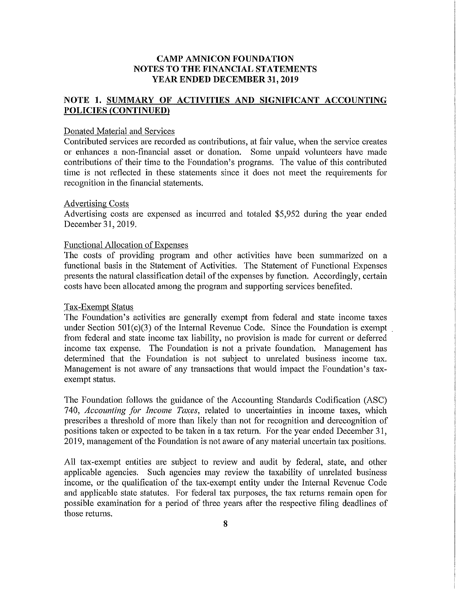### NOTE 1. SUMMARY OF ACTIVITIES AND SIGNIFICANT ACCOUNTING POLICIES (CONTINUED)

### Donated Material and Services

Contributed services are recorded as contributions, at fair value, when the service creates or enhances a non-fmancial asset or donation. Some unpaid volunteers have made contributions of their time to the Foundation's programs. The value of this contributed time is not reflected in these statements since it does not meet the requirements for recognition in the financial statements.

### Advertising Costs

Advertising costs are expensed as incurred and totaled \$5,952 during the year ended December 31,2019.

#### Functional Allocation of Expenses

The costs of providing program and other activities have been summarized on a functional basis in the Statement of Activities. The Statement of Functional Expenses presents the natural classification detail of the expenses by function. Accordingly, certain costs have been allocated among the program and supporting services benefited.

#### Tax-Exempt Status

The Foundation's activities are generally exempt from federal and state income taxes under Section  $501(c)(3)$  of the Internal Revenue Code. Since the Foundation is exempt from federal and state income tax liability, no provision is made for current or deferred income tax expense. The Foundation is not a private foundation. Management has determined that the Foundation is not subject to unrelated business income tax. Management is not aware of any transactions that would impact the Foundation's taxexempt status.

The Foundation follows the guidance of the Accounting Standards Codification (ASC) 740, Accounting for Income Taxes, related to uncertainties in income taxes, which prescribes a threshold of more than likely than not for recognition and derecognition of positions taken or expected to be taken in a tax return. For the year ended December 31, 2019, management of the Foundation is not aware of any material uncertain tax positions.

All tax-exempt entities are subject to review and audit by federal, state, and other applicable agencies. Such agencies may review the taxability of unrelated business income, or the qualification of the tax-exempt entity under the Internal Revenue Code and applicable state statutes. For federal tax purposes, the tax returns remain open for possible examination for a period of three years after the respective filing deadlines of those returns.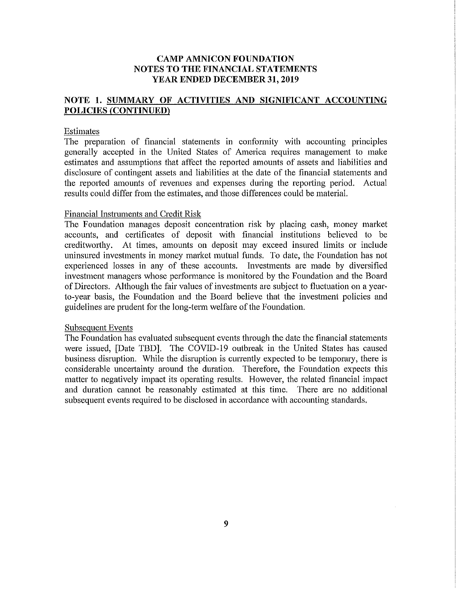## NOTE 1. SUMMARY OF ACTIVITIES AND SIGNIFICANT ACCOUNTING POLICIES (CONTINUED)

### Estimates

The preparation of financial statements in conformity with accounting principles generally accepted in the United States of America requires management to make estimates and assumptions that affect the reported amounts of assets and liabilities and disclosure of contingent assets and liabilities at the date of the financial statements and the reported amounts of revenues and expenses during the reporting period. Actual results could differ from the estimates, and those differences could be material.

### Financial Instruments and Credit Risk

The Foundation manages deposit concentration risk by placing cash, money market accounts, and certificates of deposit with financial institutions believed to be creditworthy. At times, amounts on deposit may exceed insured limits or include uninsured investments in money market mutual funds. To date, the Foundation has not experienced losses in any of these accounts. Investments are made by diversified investment managers whose performance is monitored by the Foundation and the Board of Directors. Although the fair values of investments are subject to fluctuation on a yearto-year basis, the Foundation and the Board believe that the investment policies and guidelines are prudent for the long-term welfare of the Foundation.

#### Subsequent Events

The Foundation has evaluated subsequent events through the date the financial statements were issued, [Date TBD]. The COVID-19 outbreak in the United States has caused business disruption. While the disruption is currently expected to be temporary, there is considerable uncertainty around the duration. Therefore, the Foundation expects this matter to negatively impact its operating results. However, the related financial impact and duration cannot be reasonably estimated at this time. There are no additional subsequent events required to be disclosed in accordance with accounting standards.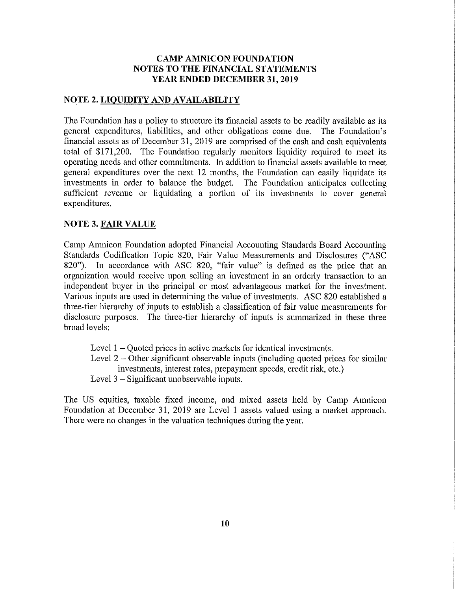### NOTE 2. LIQUIDITY AND AVAILABILITY

The Foundation has a policy to structure its financial assets to be readily available as its general expenditures, liabilities, and other obligations come due. The Foundation's financial assets as of December 31, 2019 are comprised of the cash and cash equivalents total of \$171,200. The Foundation regularly monitors liquidity required to meet its operating needs and other commitments. In addition to financial assets available to meet general expenditures over the next 12 months, the Foundation can easily liquidate its investments in order to balance the budget. The Foundation anticipates collecting sufficient revenue or liquidating a portion of its investments to cover general expenditures.

### NOTE 3. FAIR VALUE

Camp Amnicon Foundation adopted Financial Accounting Standards Board Accounting Standards Codification Topic 820, Fair Value Measurements and Disclosures ("ASC 820"). In accordance with ASC 820, "fair value" is defined as the price that an organization would receive upon selling an investment in an orderly transaction to an independent buyer in the principal or most advantageous market for the investment. Various inputs are used in determining the value of investments. ASC 820 established a three-tier hierarchy of inputs to establish a classification of fair value measurements for disclosure purposes. The three-tier hierarchy of inputs is summarized in these three broad levels:

Level  $1 -$  Quoted prices in active markets for identical investments. Level  $2 -$  Other significant observable inputs (including quoted prices for similar investments, interest rates, prepayment speeds, credit risk, etc.) Level 3 – Significant unobservable inputs.

The US equities, taxable fixed income, and mixed assets held by Camp Amnicon Foundation at December 31, 2019 are Level 1 assets valued using a market approach. There were no changes in the valuation techniques during the year.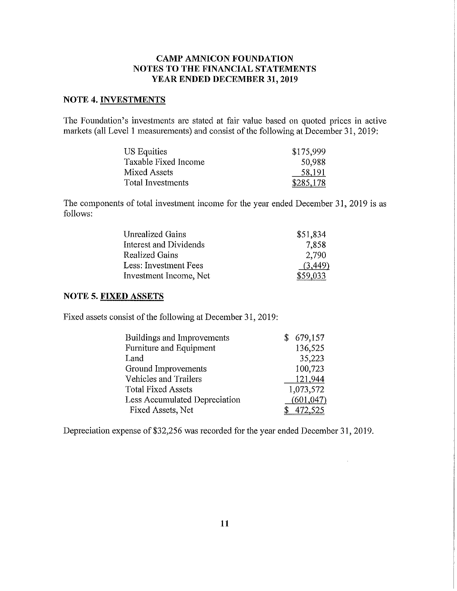# NOTE 4. INVESTMENTS

The Foundation's investments are stated at fair value based on quoted prices in active markets (all Level 1 measurements) and consist of the following at December 31, 2019:

| US Equities              | \$175,999 |
|--------------------------|-----------|
| Taxable Fixed Income     | 50,988    |
| Mixed Assets             | 58.191    |
| <b>Total Investments</b> | \$285,178 |

The components of total investment income for the year ended December 31, 2019 is as follows:

| Unrealized Gains       | \$51,834 |
|------------------------|----------|
| Interest and Dividends | 7,858    |
| <b>Realized Gains</b>  | 2,790    |
| Less: Investment Fees  | (3,449)  |
| Investment Income, Net | \$59.033 |

### NOTE 5. FIXED ASSETS

Fixed assets consist of the following at December 31,2019:

| Buildings and Improvements    | 679,157    |
|-------------------------------|------------|
| Furniture and Equipment       | 136,525    |
| Land                          | 35,223     |
| Ground Improvements           | 100,723    |
| <b>Vehicles and Trailers</b>  | 121,944    |
| <b>Total Fixed Assets</b>     | 1,073,572  |
| Less Accumulated Depreciation | (601, 047) |
| Fixed Assets, Net             | 472.525    |

Depreciation expense of \$32,256 was recorded for the year ended December 31, 2019.